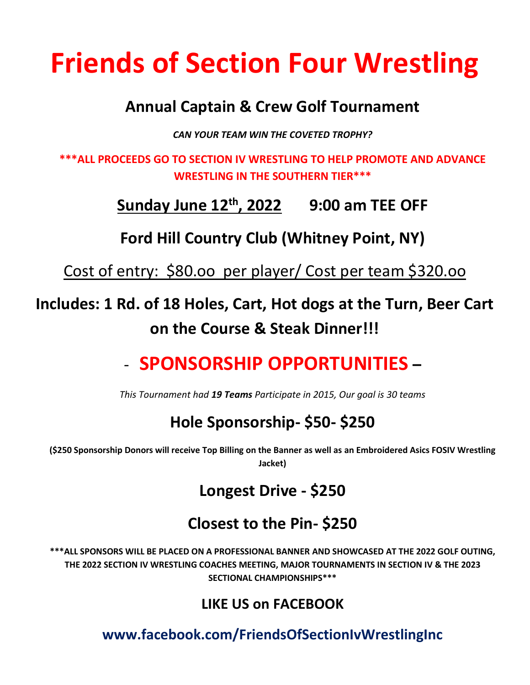# **Friends of Section Four Wrestling**

#### **Annual Captain & Crew Golf Tournament**

*CAN YOUR TEAM WIN THE COVETED TROPHY?*

**\*\*\*ALL PROCEEDS GO TO SECTION IV WRESTLING TO HELP PROMOTE AND ADVANCE WRESTLING IN THE SOUTHERN TIER\*\*\*** 

### **Sunday June 12 th, 2022 9:00 am TEE OFF**

**Ford Hill Country Club (Whitney Point, NY)**

Cost of entry: \$80.oo per player/ Cost per team \$320.oo

### **Includes: 1 Rd. of 18 Holes, Cart, Hot dogs at the Turn, Beer Cart on the Course & Steak Dinner!!!**

## - **SPONSORSHIP OPPORTUNITIES –**

*This Tournament had 19 Teams Participate in 2015, Our goal is 30 teams*

#### **Hole Sponsorship- \$50- \$250**

**(\$250 Sponsorship Donors will receive Top Billing on the Banner as well as an Embroidered Asics FOSIV Wrestling Jacket)** 

#### **Longest Drive - \$250**

#### **Closest to the Pin- \$250**

**\*\*\*ALL SPONSORS WILL BE PLACED ON A PROFESSIONAL BANNER AND SHOWCASED AT THE 2022 GOLF OUTING, THE 2022 SECTION IV WRESTLING COACHES MEETING, MAJOR TOURNAMENTS IN SECTION IV & THE 2023 SECTIONAL CHAMPIONSHIPS\*\*\***

#### **LIKE US on FACEBOOK**

**www.facebook.com/FriendsOfSectionIvWrestlingInc**